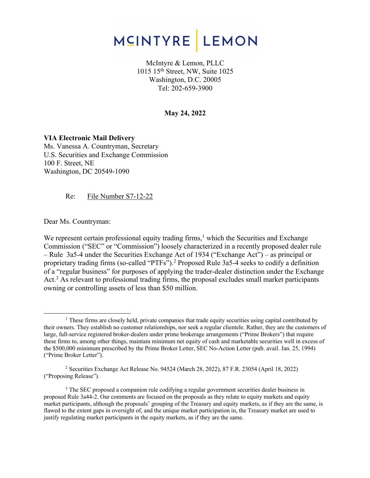

McIntyre & Lemon, PLLC 1015 15th Street, NW, Suite 1025 Washington, D.C. 20005 Tel: 202-659-3900

#### **May 24, 2022**

**VIA Electronic Mail Delivery**  Ms. Vanessa A. Countryman, Secretary U.S. Securities and Exchange Commission 100 F. Street, NE Washington, DC 20549-1090

Re: File Number S7-12-22

Dear Ms. Countryman:

We represent certain professional equity trading firms, $<sup>1</sup>$  which the Securities and Exchange</sup> Commission ("SEC" or "Commission") loosely characterized in a recently proposed dealer rule – Rule 3a5-4 under the Securities Exchange Act of 1934 ("Exchange Act") – as principal or proprietary trading firms (so-called "PTFs").<sup>2</sup> Proposed Rule 3a5-4 seeks to codify a definition of a "regular business" for purposes of applying the trader-dealer distinction under the Exchange Act.<sup>3</sup> As relevant to professional trading firms, the proposal excludes small market participants owning or controlling assets of less than \$50 million.

<sup>&</sup>lt;sup>1</sup> These firms are closely held, private companies that trade equity securities using capital contributed by their owners. They establish no customer relationships, nor seek a regular clientele. Rather, they are the customers of large, full-service registered broker-dealers under prime brokerage arrangements ("Prime Brokers") that require these firms to, among other things, maintain minimum net equity of cash and marketable securities well in excess of the \$500,000 minimum prescribed by the Prime Broker Letter, SEC No-Action Letter (pub. avail. Jan. 25, 1994) ("Prime Broker Letter").

<sup>2</sup> Securities Exchange Act Release No. 94524 (March 28, 2022), 87 F.R. 23054 (April 18, 2022) ("Proposing Release").

<sup>&</sup>lt;sup>3</sup> The SEC proposed a companion rule codifying a regular government securities dealer business in proposed Rule 3a44-2. Our comments are focused on the proposals as they relate to equity markets and equity market participants, although the proposals' grouping of the Treasury and equity markets, as if they are the same, is flawed to the extent gaps in oversight of, and the unique market participation in, the Treasury market are used to justify regulating market participants in the equity markets, as if they are the same.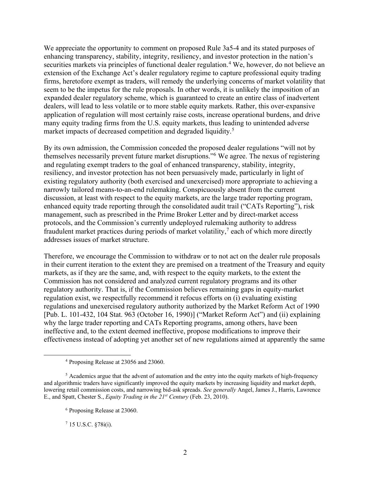We appreciate the opportunity to comment on proposed Rule 3a5-4 and its stated purposes of enhancing transparency, stability, integrity, resiliency, and investor protection in the nation's securities markets via principles of functional dealer regulation.<sup>4</sup> We, however, do not believe an extension of the Exchange Act's dealer regulatory regime to capture professional equity trading firms, heretofore exempt as traders, will remedy the underlying concerns of market volatility that seem to be the impetus for the rule proposals. In other words, it is unlikely the imposition of an expanded dealer regulatory scheme, which is guaranteed to create an entire class of inadvertent dealers, will lead to less volatile or to more stable equity markets. Rather, this over-expansive application of regulation will most certainly raise costs, increase operational burdens, and drive many equity trading firms from the U.S. equity markets, thus leading to unintended adverse market impacts of decreased competition and degraded liquidity.<sup>5</sup>

By its own admission, the Commission conceded the proposed dealer regulations "will not by themselves necessarily prevent future market disruptions."6 We agree. The nexus of registering and regulating exempt traders to the goal of enhanced transparency, stability, integrity, resiliency, and investor protection has not been persuasively made, particularly in light of existing regulatory authority (both exercised and unexercised) more appropriate to achieving a narrowly tailored means-to-an-end rulemaking. Conspicuously absent from the current discussion, at least with respect to the equity markets, are the large trader reporting program, enhanced equity trade reporting through the consolidated audit trail ("CATs Reporting"), risk management, such as prescribed in the Prime Broker Letter and by direct-market access protocols, and the Commission's currently undeployed rulemaking authority to address fraudulent market practices during periods of market volatility, $\lambda$  each of which more directly addresses issues of market structure.

Therefore, we encourage the Commission to withdraw or to not act on the dealer rule proposals in their current iteration to the extent they are premised on a treatment of the Treasury and equity markets, as if they are the same, and, with respect to the equity markets, to the extent the Commission has not considered and analyzed current regulatory programs and its other regulatory authority. That is, if the Commission believes remaining gaps in equity-market regulation exist, we respectfully recommend it refocus efforts on (i) evaluating existing regulations and unexercised regulatory authority authorized by the Market Reform Act of 1990 [Pub. L. 101-432, 104 Stat. 963 (October 16, 1990)] ("Market Reform Act") and (ii) explaining why the large trader reporting and CATs Reporting programs, among others, have been ineffective and, to the extent deemed ineffective, propose modifications to improve their effectiveness instead of adopting yet another set of new regulations aimed at apparently the same

 $7$  15 U.S.C.  $\S 78i(i)$ .

<sup>4</sup> Proposing Release at 23056 and 23060.

<sup>&</sup>lt;sup>5</sup> Academics argue that the advent of automation and the entry into the equity markets of high-frequency and algorithmic traders have significantly improved the equity markets by increasing liquidity and market depth, lowering retail commission costs, and narrowing bid-ask spreads. *See generally* Angel, James J., Harris, Lawrence E., and Spatt, Chester S., *Equity Trading in the 21st Century* (Feb. 23, 2010).

<sup>6</sup> Proposing Release at 23060.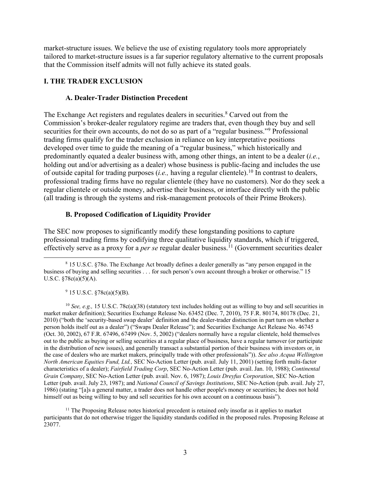market-structure issues. We believe the use of existing regulatory tools more appropriately tailored to market-structure issues is a far superior regulatory alternative to the current proposals that the Commission itself admits will not fully achieve its stated goals.

## **I. THE TRADER EXCLUSION**

### **A. Dealer-Trader Distinction Precedent**

The Exchange Act registers and regulates dealers in securities.<sup>8</sup> Carved out from the Commission's broker-dealer regulatory regime are traders that, even though they buy and sell securities for their own accounts, do not do so as part of a "regular business."<sup>9</sup> Professional trading firms qualify for the trader exclusion in reliance on key interpretative positions developed over time to guide the meaning of a "regular business," which historically and predominantly equated a dealer business with, among other things, an intent to be a dealer (*i.e.*, holding out and/or advertising as a dealer) whose business is public-facing and includes the use of outside capital for trading purposes (*i.e.,* having a regular clientele).10 In contrast to dealers, professional trading firms have no regular clientele (they have no customers). Nor do they seek a regular clientele or outside money, advertise their business, or interface directly with the public (all trading is through the systems and risk-management protocols of their Prime Brokers).

## **B. Proposed Codification of Liquidity Provider**

The SEC now proposes to significantly modify these longstanding positions to capture professional trading firms by codifying three qualitative liquidity standards, which if triggered, effectively serve as a proxy for a *per se* regular dealer business.11 (Government securities dealer

 $9$  15 U.S.C.  $\sqrt{78c(a)(5)(B)}$ .

<sup>10</sup> See, e.g., 15 U.S.C. 78c(a)(38) (statutory text includes holding out as willing to buy and sell securities in market maker definition); Securities Exchange Release No. 63452 (Dec. 7, 2010), 75 F.R. 80174, 80178 (Dec. 21, 2010) ("both the 'security-based swap dealer' definition and the dealer-trader distinction in part turn on whether a person holds itself out as a dealer") ("Swaps Dealer Release"); and Securities Exchange Act Release No. 46745 (Oct. 30, 2002), 67 F.R. 67496, 67499 (Nov. 5, 2002) ("dealers normally have a regular clientele, hold themselves out to the public as buying or selling securities at a regular place of business, have a regular turnover (or participate in the distribution of new issues), and generally transact a substantial portion of their business with investors or, in the case of dealers who are market makers, principally trade with other professionals")). *See also Acqua Wellington North American Equities Fund, Ltd.,* SEC No-Action Letter (pub. avail. July 11, 2001) (setting forth multi-factor characteristics of a dealer); *Fairfield Trading Corp*, SEC No-Action Letter (pub. avail. Jan. 10, 1988); *Continental Grain Company*, SEC No-Action Letter (pub. avail. Nov. 6, 1987); *Louis Dreyfus Corporation*, SEC No-Action Letter (pub. avail. July 23, 1987); and *National Council of Savings Institutions*, SEC No-Action (pub. avail. July 27, 1986) (stating "[a]s a general matter, a trader does not handle other people's money or securities; he does not hold himself out as being willing to buy and sell securities for his own account on a continuous basis").

<sup>11</sup> The Proposing Release notes historical precedent is retained only insofar as it applies to market participants that do not otherwise trigger the liquidity standards codified in the proposed rules. Proposing Release at 23077.

<sup>8</sup> 15 U.S.C. §78o. The Exchange Act broadly defines a dealer generally as "any person engaged in the business of buying and selling securities . . . for such person's own account through a broker or otherwise." 15 U.S.C. §78c(a)(5)(A).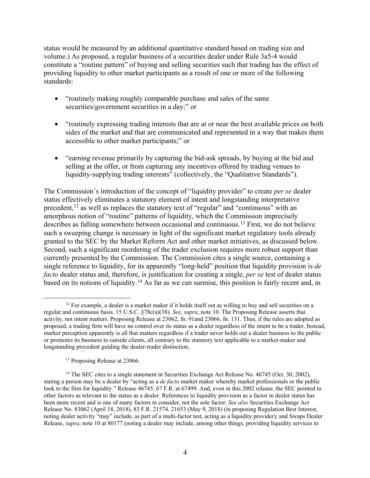status would be measured by an additional quantitative standard based on trading size and volume.) As proposed, a regular business of a securities dealer under Rule 3a5-4 would constitute a "routine pattern" of buying and selling securities such that trading has the effect of providing liquidity to other market participants as a result of one or more of the following standards:

- "routinely making roughly comparable purchase and sales of the same securities/government securities in a day;" or
- "routinely expressing trading interests that are at or near the best available prices on both sides of the market and that are communicated and represented in a way that makes them accessible to other market participants;" or
- "earning revenue primarily by capturing the bid-ask spreads, by buying at the bid and selling at the offer, or from capturing any incentives offered by trading venues to liquidity-supplying trading interests" (collectively, the "Qualitative Standards").

The Commission's introduction of the concept of "liquidity provider" to create *per se* dealer status effectively eliminates a statutory element of intent and longstanding interpretative precedent,<sup>12</sup> as well as replaces the statutory text of "regular" and "continuous" with an amorphous notion of "routine" patterns of liquidity, which the Commission imprecisely describes as falling somewhere between occasional and continuous.13 First, we do not believe such a sweeping change is necessary in light of the significant market regulatory tools already granted to the SEC by the Market Reform Act and other market initiatives, as discussed below. Second, such a significant reordering of the trader exclusion requires more robust support than currently presented by the Commission. The Commission cites a single source, containing a single reference to liquidity, for its apparently "long-held" position that liquidity provision is *de facto* dealer status and, therefore, is justification for creating a single, *per se* test of dealer status based on its notions of liquidity.14 As far as we can surmise, this position is fairly recent and, in

<sup>13</sup> Proposing Release at 23066.

 $12$  For example, a dealer is a market maker if it holds itself out as willing to buy and sell securities on a regular and continuous basis. 15 U.S.C. §78c(a)(38). *See, supra*, note 10. The Proposing Release asserts that activity, not intent matters. Proposing Release at 23062, fn. 91and 23066, fn. 131. Thus, if the rules are adopted as proposed, a trading firm will have no control over its status as a dealer regardless of the intent to be a trader. Instead, market perception apparently is all that matters regardless if a trader never holds out a dealer business to the public or promotes its business to outside clients, all contrary to the statutory text applicable to a market-maker and longstanding precedent guiding the dealer-trader distinction.

<sup>&</sup>lt;sup>14</sup> The SEC cites to a single statement in Securities Exchange Act Release No. 46745 (Oct. 30, 2002), stating a person may be a dealer by "acting as a *de facto* market maker whereby market professionals or the public look to the firm for liquidity." Release 46745, 67 F.R. at 67499. And, even in this 2002 release, the SEC pointed to other factors as relevant to the status as a dealer. References to liquidity provision as a factor in dealer status has been more recent and is one of many factors to consider, not the sole factor. *See also* Securities Exchange Act Release No. 83062 (April 18, 2018), 83 F.R. 21574, 21653 (May 9, 2018) (in proposing Regulation Best Interest, noting dealer activity "may" include, as part of a multi-factor test, acting as a liquidity provider); and Swaps Dealer Release, *supra*, note 10 at 80177 (noting a dealer may include, among other things, providing liquidity services to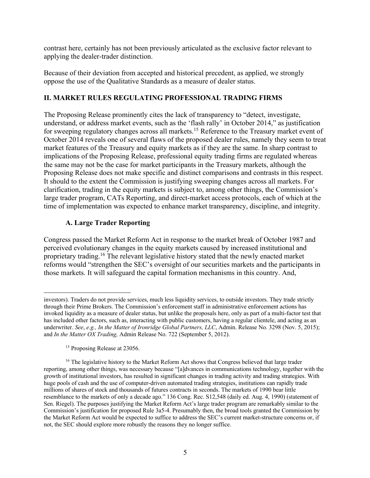contrast here, certainly has not been previously articulated as the exclusive factor relevant to applying the dealer-trader distinction.

Because of their deviation from accepted and historical precedent, as applied, we strongly oppose the use of the Qualitative Standards as a measure of dealer status.

## **II. MARKET RULES REGULATING PROFESSIONAL TRADING FIRMS**

The Proposing Release prominently cites the lack of transparency to "detect, investigate, understand, or address market events, such as the 'flash rally' in October 2014," as justification for sweeping regulatory changes across all markets.15 Reference to the Treasury market event of October 2014 reveals one of several flaws of the proposed dealer rules, namely they seem to treat market features of the Treasury and equity markets as if they are the same. In sharp contrast to implications of the Proposing Release, professional equity trading firms are regulated whereas the same may not be the case for market participants in the Treasury markets, although the Proposing Release does not make specific and distinct comparisons and contrasts in this respect. It should to the extent the Commission is justifying sweeping changes across all markets. For clarification, trading in the equity markets is subject to, among other things, the Commission's large trader program, CATs Reporting, and direct-market access protocols, each of which at the time of implementation was expected to enhance market transparency, discipline, and integrity.

## **A. Large Trader Reporting**

Congress passed the Market Reform Act in response to the market break of October 1987 and perceived evolutionary changes in the equity markets caused by increased institutional and proprietary trading.16 The relevant legislative history stated that the newly enacted market reforms would "strengthen the SEC's oversight of our securities markets and the participants in those markets. It will safeguard the capital formation mechanisms in this country. And,

<sup>15</sup> Proposing Release at 23056.

investors). Traders do not provide services, much less liquidity services, to outside investors. They trade strictly through their Prime Brokers. The Commission's enforcement staff in administrative enforcement actions has invoked liquidity as a measure of dealer status, but unlike the proposals here, only as part of a multi-factor test that has included other factors, such as, interacting with public customers, having a regular clientele, and acting as an underwriter. *See*, *e.g., In the Matter of Ironridge Global Partners, LLC*, Admin. Release No. 3298 (Nov. 5, 2015); and *In the Matter OX Trading,* Admin Release No. 722 (September 5, 2012).

<sup>&</sup>lt;sup>16</sup> The legislative history to the Market Reform Act shows that Congress believed that large trader reporting, among other things, was necessary because "[a]dvances in communications technology, together with the growth of institutional investors, has resulted in significant changes in trading activity and trading strategies. With huge pools of cash and the use of computer-driven automated trading strategies, institutions can rapidly trade millions of shares of stock and thousands of futures contracts in seconds. The markets of 1990 bear little resemblance to the markets of only a decade ago." 136 Cong. Rec. S12,548 (daily ed. Aug. 4, 1990) (statement of Sen. Riegel). The purposes justifying the Market Reform Act's large trader program are remarkably similar to the Commission's justification for proposed Rule 3a5-4. Presumably then, the broad tools granted the Commission by the Market Reform Act would be expected to suffice to address the SEC's current market-structure concerns or, if not, the SEC should explore more robustly the reasons they no longer suffice.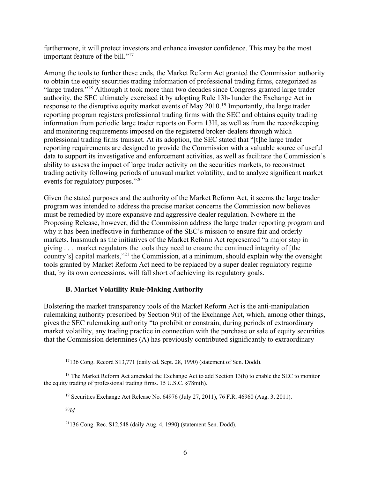furthermore, it will protect investors and enhance investor confidence. This may be the most important feature of the bill."<sup>17</sup>

Among the tools to further these ends, the Market Reform Act granted the Commission authority to obtain the equity securities trading information of professional trading firms, categorized as "large traders."18 Although it took more than two decades since Congress granted large trader authority, the SEC ultimately exercised it by adopting Rule 13h-1under the Exchange Act in response to the disruptive equity market events of May 2010.<sup>19</sup> Importantly, the large trader reporting program registers professional trading firms with the SEC and obtains equity trading information from periodic large trader reports on Form 13H, as well as from the recordkeeping and monitoring requirements imposed on the registered broker-dealers through which professional trading firms transact. At its adoption, the SEC stated that "[t]he large trader reporting requirements are designed to provide the Commission with a valuable source of useful data to support its investigative and enforcement activities, as well as facilitate the Commission's ability to assess the impact of large trader activity on the securities markets, to reconstruct trading activity following periods of unusual market volatility, and to analyze significant market events for regulatory purposes."20

Given the stated purposes and the authority of the Market Reform Act, it seems the large trader program was intended to address the precise market concerns the Commission now believes must be remedied by more expansive and aggressive dealer regulation. Nowhere in the Proposing Release, however, did the Commission address the large trader reporting program and why it has been ineffective in furtherance of the SEC's mission to ensure fair and orderly markets. Inasmuch as the initiatives of the Market Reform Act represented "a major step in giving . . . market regulators the tools they need to ensure the continued integrity of [the country's] capital markets,"21 the Commission, at a minimum, should explain why the oversight tools granted by Market Reform Act need to be replaced by a super dealer regulatory regime that, by its own concessions, will fall short of achieving its regulatory goals.

## **B. Market Volatility Rule-Making Authority**

Bolstering the market transparency tools of the Market Reform Act is the anti-manipulation rulemaking authority prescribed by Section 9(i) of the Exchange Act, which, among other things, gives the SEC rulemaking authority "to prohibit or constrain, during periods of extraordinary market volatility, any trading practice in connection with the purchase or sale of equity securities that the Commission determines (A) has previously contributed significantly to extraordinary

 $17136$  Cong. Record S13,771 (daily ed. Sept. 28, 1990) (statement of Sen. Dodd).

<sup>&</sup>lt;sup>18</sup> The Market Reform Act amended the Exchange Act to add Section 13(h) to enable the SEC to monitor the equity trading of professional trading firms. 15 U.S.C. §78m(h).

<sup>19</sup> Securities Exchange Act Release No. 64976 (July 27, 2011), 76 F.R. 46960 (Aug. 3, 2011).

<sup>20</sup>*Id.*

 $21136$  Cong. Rec. S12,548 (daily Aug. 4, 1990) (statement Sen. Dodd).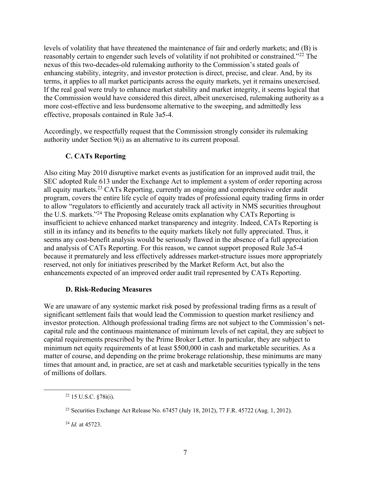levels of volatility that have threatened the maintenance of fair and orderly markets; and (B) is reasonably certain to engender such levels of volatility if not prohibited or constrained."22 The nexus of this two-decades-old rulemaking authority to the Commission's stated goals of enhancing stability, integrity, and investor protection is direct, precise, and clear. And, by its terms, it applies to all market participants across the equity markets, yet it remains unexercised. If the real goal were truly to enhance market stability and market integrity, it seems logical that the Commission would have considered this direct, albeit unexercised, rulemaking authority as a more cost-effective and less burdensome alternative to the sweeping, and admittedly less effective, proposals contained in Rule 3a5-4.

Accordingly, we respectfully request that the Commission strongly consider its rulemaking authority under Section 9(i) as an alternative to its current proposal.

# **C. CATs Reporting**

Also citing May 2010 disruptive market events as justification for an improved audit trail, the SEC adopted Rule 613 under the Exchange Act to implement a system of order reporting across all equity markets.23 CATs Reporting, currently an ongoing and comprehensive order audit program, covers the entire life cycle of equity trades of professional equity trading firms in order to allow "regulators to efficiently and accurately track all activity in NMS securities throughout the U.S. markets."24 The Proposing Release omits explanation why CATs Reporting is insufficient to achieve enhanced market transparency and integrity. Indeed, CATs Reporting is still in its infancy and its benefits to the equity markets likely not fully appreciated. Thus, it seems any cost-benefit analysis would be seriously flawed in the absence of a full appreciation and analysis of CATs Reporting. For this reason, we cannot support proposed Rule 3a5-4 because it prematurely and less effectively addresses market-structure issues more appropriately reserved, not only for initiatives prescribed by the Market Reform Act, but also the enhancements expected of an improved order audit trail represented by CATs Reporting.

## **D. Risk-Reducing Measures**

We are unaware of any systemic market risk posed by professional trading firms as a result of significant settlement fails that would lead the Commission to question market resiliency and investor protection. Although professional trading firms are not subject to the Commission's netcapital rule and the continuous maintenance of minimum levels of net capital, they are subject to capital requirements prescribed by the Prime Broker Letter. In particular, they are subject to minimum net equity requirements of at least \$500,000 in cash and marketable securities. As a matter of course, and depending on the prime brokerage relationship, these minimums are many times that amount and, in practice, are set at cash and marketable securities typically in the tens of millions of dollars.

 $22$  15 U.S.C.  $$78i(i)$ .

<sup>23</sup> Securities Exchange Act Release No. 67457 (July 18, 2012), 77 F.R. 45722 (Aug. 1, 2012).

<sup>24</sup> *Id.* at 45723.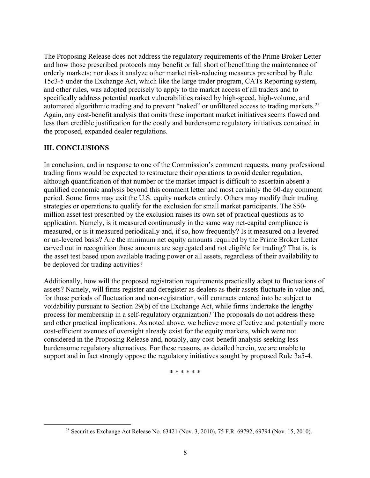The Proposing Release does not address the regulatory requirements of the Prime Broker Letter and how those prescribed protocols may benefit or fall short of benefitting the maintenance of orderly markets; nor does it analyze other market risk-reducing measures prescribed by Rule 15c3-5 under the Exchange Act, which like the large trader program, CATs Reporting system, and other rules, was adopted precisely to apply to the market access of all traders and to specifically address potential market vulnerabilities raised by high-speed, high-volume, and automated algorithmic trading and to prevent "naked" or unfiltered access to trading markets.<sup>25</sup> Again, any cost-benefit analysis that omits these important market initiatives seems flawed and less than credible justification for the costly and burdensome regulatory initiatives contained in the proposed, expanded dealer regulations.

### **III. CONCLUSIONS**

In conclusion, and in response to one of the Commission's comment requests, many professional trading firms would be expected to restructure their operations to avoid dealer regulation, although quantification of that number or the market impact is difficult to ascertain absent a qualified economic analysis beyond this comment letter and most certainly the 60-day comment period. Some firms may exit the U.S. equity markets entirely. Others may modify their trading strategies or operations to qualify for the exclusion for small market participants. The \$50 million asset test prescribed by the exclusion raises its own set of practical questions as to application. Namely, is it measured continuously in the same way net-capital compliance is measured, or is it measured periodically and, if so, how frequently? Is it measured on a levered or un-levered basis? Are the minimum net equity amounts required by the Prime Broker Letter carved out in recognition those amounts are segregated and not eligible for trading? That is, is the asset test based upon available trading power or all assets, regardless of their availability to be deployed for trading activities?

Additionally, how will the proposed registration requirements practically adapt to fluctuations of assets? Namely, will firms register and deregister as dealers as their assets fluctuate in value and, for those periods of fluctuation and non-registration, will contracts entered into be subject to voidability pursuant to Section 29(b) of the Exchange Act, while firms undertake the lengthy process for membership in a self-regulatory organization? The proposals do not address these and other practical implications. As noted above, we believe more effective and potentially more cost-efficient avenues of oversight already exist for the equity markets, which were not considered in the Proposing Release and, notably, any cost-benefit analysis seeking less burdensome regulatory alternatives. For these reasons, as detailed herein, we are unable to support and in fact strongly oppose the regulatory initiatives sought by proposed Rule 3a5-4.

\* \* \* \* \* \*

<sup>&</sup>lt;sup>25</sup> Securities Exchange Act Release No. 63421 (Nov. 3, 2010), 75 F.R. 69792, 69794 (Nov. 15, 2010).